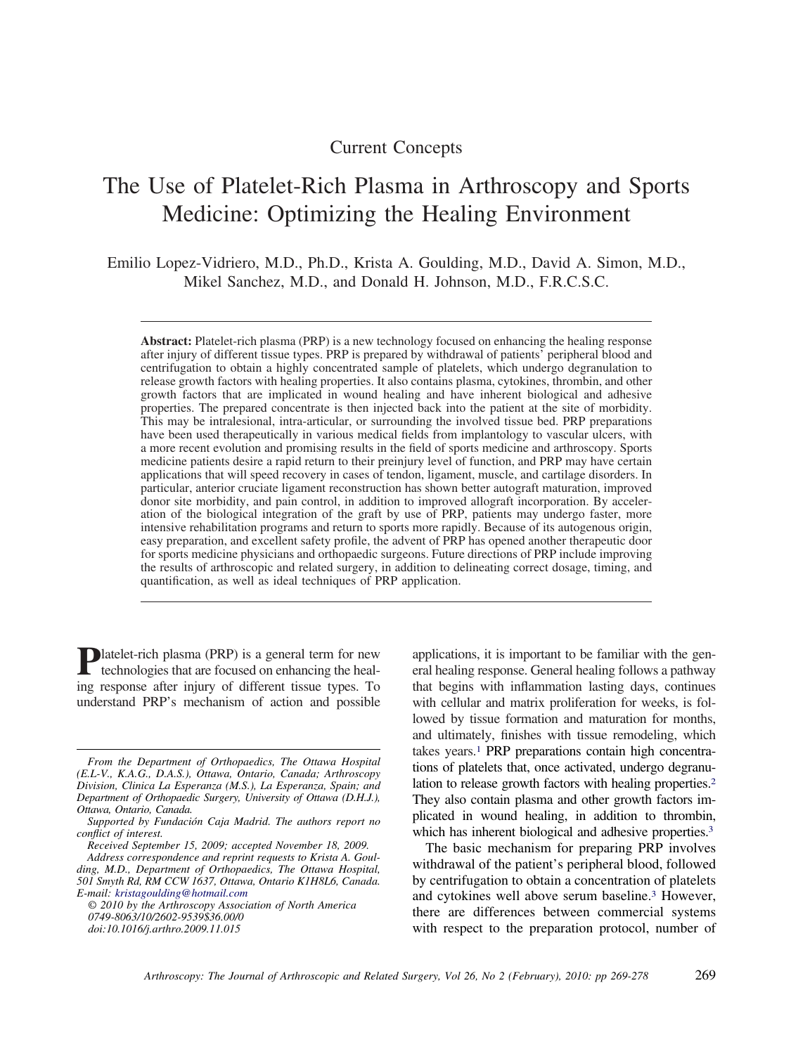# Current Concepts

# The Use of Platelet-Rich Plasma in Arthroscopy and Sports Medicine: Optimizing the Healing Environment

Emilio Lopez-Vidriero, M.D., Ph.D., Krista A. Goulding, M.D., David A. Simon, M.D., Mikel Sanchez, M.D., and Donald H. Johnson, M.D., F.R.C.S.C.

**Abstract:** Platelet-rich plasma (PRP) is a new technology focused on enhancing the healing response after injury of different tissue types. PRP is prepared by withdrawal of patients' peripheral blood and centrifugation to obtain a highly concentrated sample of platelets, which undergo degranulation to release growth factors with healing properties. It also contains plasma, cytokines, thrombin, and other growth factors that are implicated in wound healing and have inherent biological and adhesive properties. The prepared concentrate is then injected back into the patient at the site of morbidity. This may be intralesional, intra-articular, or surrounding the involved tissue bed. PRP preparations have been used therapeutically in various medical fields from implantology to vascular ulcers, with a more recent evolution and promising results in the field of sports medicine and arthroscopy. Sports medicine patients desire a rapid return to their preinjury level of function, and PRP may have certain applications that will speed recovery in cases of tendon, ligament, muscle, and cartilage disorders. In particular, anterior cruciate ligament reconstruction has shown better autograft maturation, improved donor site morbidity, and pain control, in addition to improved allograft incorporation. By acceleration of the biological integration of the graft by use of PRP, patients may undergo faster, more intensive rehabilitation programs and return to sports more rapidly. Because of its autogenous origin, easy preparation, and excellent safety profile, the advent of PRP has opened another therapeutic door for sports medicine physicians and orthopaedic surgeons. Future directions of PRP include improving the results of arthroscopic and related surgery, in addition to delineating correct dosage, timing, and quantification, as well as ideal techniques of PRP application.

**P**latelet-rich plasma (PRP) is a general term for new technologies that are focused on enhancing the healing response after injury of different tissue types. To understand PRP's mechanism of action and possible

*© 2010 by the Arthroscopy Association of North America 0749-8063/10/2602-9539\$36.00/0 doi:10.1016/j.arthro.2009.11.015*

applications, it is important to be familiar with the general healing response. General healing follows a pathway that begins with inflammation lasting days, continues with cellular and matrix proliferation for weeks, is followed by tissue formation and maturation for months, and ultimately, finishes with tissue remodeling, which takes years[.1](#page-8-0) PRP preparations contain high concentrations of platelets that, once activated, undergo degranulation to release growth factors with healing properties.<sup>2</sup> They also contain plasma and other growth factors implicated in wound healing, in addition to thrombin, which has inherent biological and adhesive properties.<sup>3</sup>

The basic mechanism for preparing PRP involves withdrawal of the patient's peripheral blood, followed by centrifugation to obtain a concentration of platelets and cytokines well above serum baseline[.3](#page-8-0) However, there are differences between commercial systems with respect to the preparation protocol, number of

*From the Department of Orthopaedics, The Ottawa Hospital (E.L-V., K.A.G., D.A.S.), Ottawa, Ontario, Canada; Arthroscopy Division, Clinica La Esperanza (M.S.), La Esperanza, Spain; and Department of Orthopaedic Surgery, University of Ottawa (D.H.J.), Ottawa, Ontario, Canada.*

*Supported by Fundación Caja Madrid. The authors report no conflict of interest.*

*Received September 15, 2009; accepted November 18, 2009.*

*Address correspondence and reprint requests to Krista A. Goulding, M.D., Department of Orthopaedics, The Ottawa Hospital, 501 Smyth Rd, RM CCW 1637, Ottawa, Ontario K1H8L6, Canada. E-mail: [kristagoulding@hotmail.com](mailto:kristagoulding@hotmail.com)*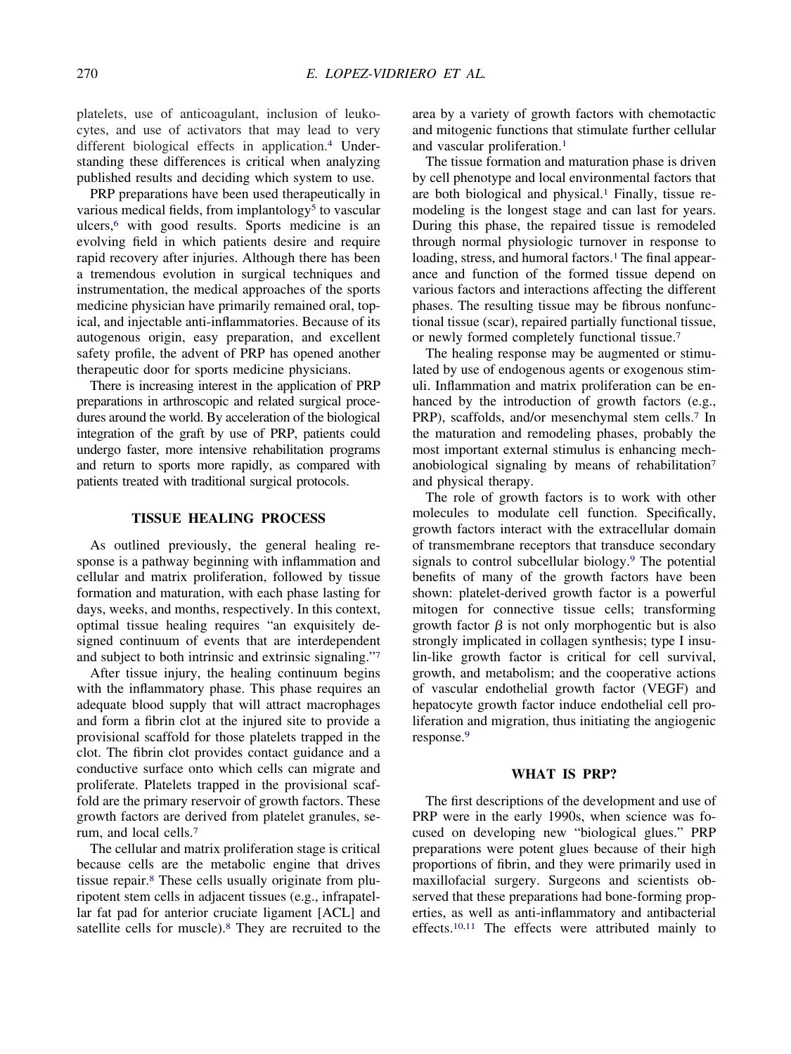platelets, use of anticoagulant, inclusion of leukocytes, and use of activators that may lead to very different biological effects in application.<sup>4</sup> Understanding these differences is critical when analyzing published results and deciding which system to use.

PRP preparations have been used therapeutically in various medical fields, from implantology<sup>5</sup> to vascular ulcers[,6](#page-8-0) with good results. Sports medicine is an evolving field in which patients desire and require rapid recovery after injuries. Although there has been a tremendous evolution in surgical techniques and instrumentation, the medical approaches of the sports medicine physician have primarily remained oral, topical, and injectable anti-inflammatories. Because of its autogenous origin, easy preparation, and excellent safety profile, the advent of PRP has opened another therapeutic door for sports medicine physicians.

There is increasing interest in the application of PRP preparations in arthroscopic and related surgical procedures around the world. By acceleration of the biological integration of the graft by use of PRP, patients could undergo faster, more intensive rehabilitation programs and return to sports more rapidly, as compared with patients treated with traditional surgical protocols.

### **TISSUE HEALING PROCESS**

As outlined previously, the general healing response is a pathway beginning with inflammation and cellular and matrix proliferation, followed by tissue formation and maturation, with each phase lasting for days, weeks, and months, respectively. In this context, optimal tissue healing requires "an exquisitely designed continuum of events that are interdependent and subject to both intrinsic and extrinsic signaling.["7](#page-8-0)

After tissue injury, the healing continuum begins with the inflammatory phase. This phase requires an adequate blood supply that will attract macrophages and form a fibrin clot at the injured site to provide a provisional scaffold for those platelets trapped in the clot. The fibrin clot provides contact guidance and a conductive surface onto which cells can migrate and proliferate. Platelets trapped in the provisional scaffold are the primary reservoir of growth factors. These growth factors are derived from platelet granules, serum, and local cells[.7](#page-8-0)

The cellular and matrix proliferation stage is critical because cells are the metabolic engine that drives tissue repair[.8](#page-8-0) These cells usually originate from pluripotent stem cells in adjacent tissues (e.g., infrapatellar fat pad for anterior cruciate ligament [ACL] and satellite cells for muscle).<sup>8</sup> They are recruited to the area by a variety of growth factors with chemotactic and mitogenic functions that stimulate further cellular and vascular proliferation[.1](#page-8-0)

The tissue formation and maturation phase is driven by cell phenotype and local environmental factors that are both biological and physical.<sup>1</sup> Finally, tissue remodeling is the longest stage and can last for years. During this phase, the repaired tissue is remodeled through normal physiologic turnover in response to loading, stress, and humoral factors.<sup>1</sup> The final appearance and function of the formed tissue depend on various factors and interactions affecting the different phases. The resulting tissue may be fibrous nonfunctional tissue (scar), repaired partially functional tissue, or newly formed completely functional tissue[.7](#page-8-0)

The healing response may be augmented or stimulated by use of endogenous agents or exogenous stimuli. Inflammation and matrix proliferation can be enhanced by the introduction of growth factors (e.g., PRP), scaffolds, and/or mesenchymal stem cells.<sup>7</sup> In the maturation and remodeling phases, probably the most important external stimulus is enhancing mechanobiological signaling by means of rehabilitatio[n7](#page-8-0) and physical therapy.

The role of growth factors is to work with other molecules to modulate cell function. Specifically, growth factors interact with the extracellular domain of transmembrane receptors that transduce secondary signals to control subcellular biology.<sup>9</sup> The potential benefits of many of the growth factors have been shown: platelet-derived growth factor is a powerful mitogen for connective tissue cells; transforming growth factor  $\beta$  is not only morphogentic but is also strongly implicated in collagen synthesis; type I insulin-like growth factor is critical for cell survival, growth, and metabolism; and the cooperative actions of vascular endothelial growth factor (VEGF) and hepatocyte growth factor induce endothelial cell proliferation and migration, thus initiating the angiogenic response[.9](#page-8-0)

#### **WHAT IS PRP?**

The first descriptions of the development and use of PRP were in the early 1990s, when science was focused on developing new "biological glues." PRP preparations were potent glues because of their high proportions of fibrin, and they were primarily used in maxillofacial surgery. Surgeons and scientists observed that these preparations had bone-forming properties, as well as anti-inflammatory and antibacterial effects[.10,11](#page-8-0) The effects were attributed mainly to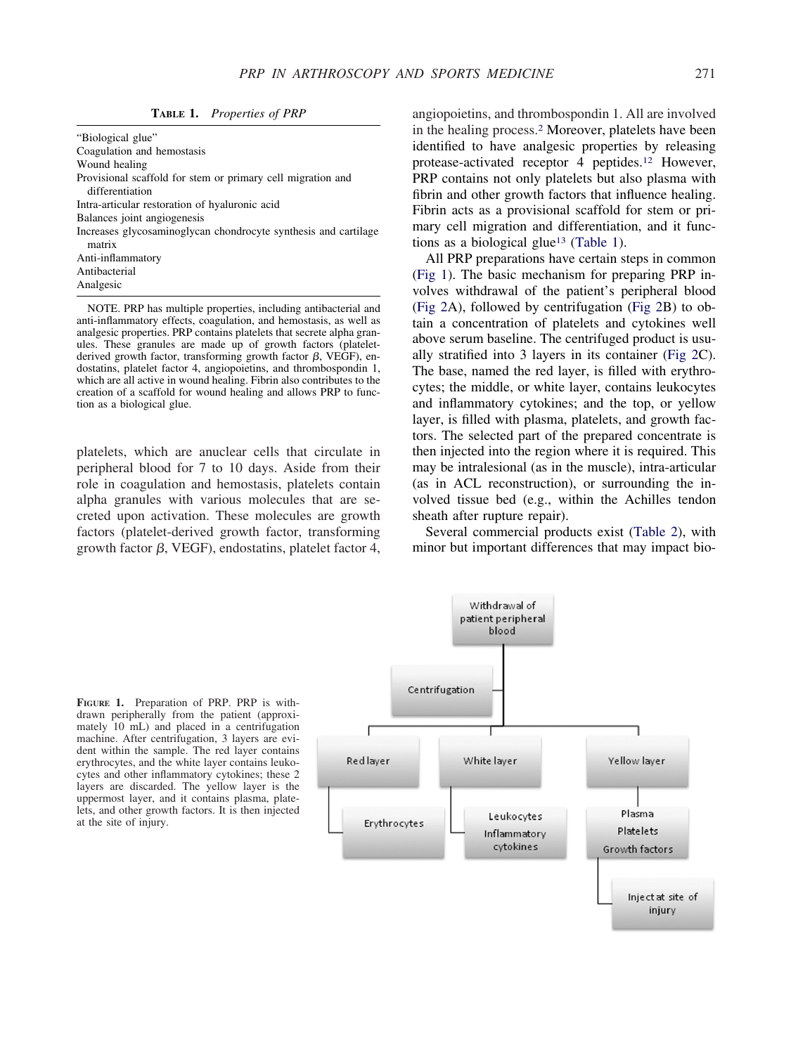**TABLE 1.** *Properties of PRP*

NOTE. PRP has multiple properties, including antibacterial and anti-inflammatory effects, coagulation, and hemostasis, as well as analgesic properties. PRP contains platelets that secrete alpha granules. These granules are made up of growth factors (plateletderived growth factor, transforming growth factor  $\beta$ , VEGF), endostatins, platelet factor 4, angiopoietins, and thrombospondin 1, which are all active in wound healing. Fibrin also contributes to the creation of a scaffold for wound healing and allows PRP to function as a biological glue.

platelets, which are anuclear cells that circulate in peripheral blood for 7 to 10 days. Aside from their role in coagulation and hemostasis, platelets contain alpha granules with various molecules that are secreted upon activation. These molecules are growth factors (platelet-derived growth factor, transforming growth factor  $\beta$ , VEGF), endostatins, platelet factor 4, angiopoietins, and thrombospondin 1. All are involved in the healing process[.2](#page-8-0) Moreover, platelets have been identified to have analgesic properties by releasing protease-activated receptor 4 peptides[.12](#page-8-0) However, PRP contains not only platelets but also plasma with fibrin and other growth factors that influence healing. Fibrin acts as a provisional scaffold for stem or primary cell migration and differentiation, and it functions as a biological glu[e13](#page-8-0) [\(Table 1\)](#page-2-0).

All PRP preparations have certain steps in common [\(Fig 1\)](#page-2-0). The basic mechanism for preparing PRP involves withdrawal of the patient's peripheral blood [\(Fig 2A](#page-3-0)), followed by centrifugation [\(Fig 2B](#page-3-0)) to obtain a concentration of platelets and cytokines well above serum baseline. The centrifuged product is usually stratified into 3 layers in its container [\(Fig 2C](#page-3-0)). The base, named the red layer, is filled with erythrocytes; the middle, or white layer, contains leukocytes and inflammatory cytokines; and the top, or yellow layer, is filled with plasma, platelets, and growth factors. The selected part of the prepared concentrate is then injected into the region where it is required. This may be intralesional (as in the muscle), intra-articular (as in ACL reconstruction), or surrounding the involved tissue bed (e.g., within the Achilles tendon sheath after rupture repair).

Several commercial products exist [\(Table 2\)](#page-3-0), with minor but important differences that may impact bio-

Withdrawal of patient peripheral blood Centrifugation **Red layer** White layer Yellow laver Plasma Leukocytes Erythrocytes Inflammatory Platelets cytokines Growth factors Inject at site of injury

<span id="page-2-0"></span>**FIGURE 1.** Preparation of PRP. PRP is withdrawn peripherally from the patient (approximately 10 mL) and placed in a centrifugation machine. After centrifugation, 3 layers are evident within the sample. The red layer contains erythrocytes, and the white layer contains leukocytes and other inflammatory cytokines; these 2 layers are discarded. The yellow layer is the uppermost layer, and it contains plasma, platelets, and other growth factors. It is then injected at the site of injury.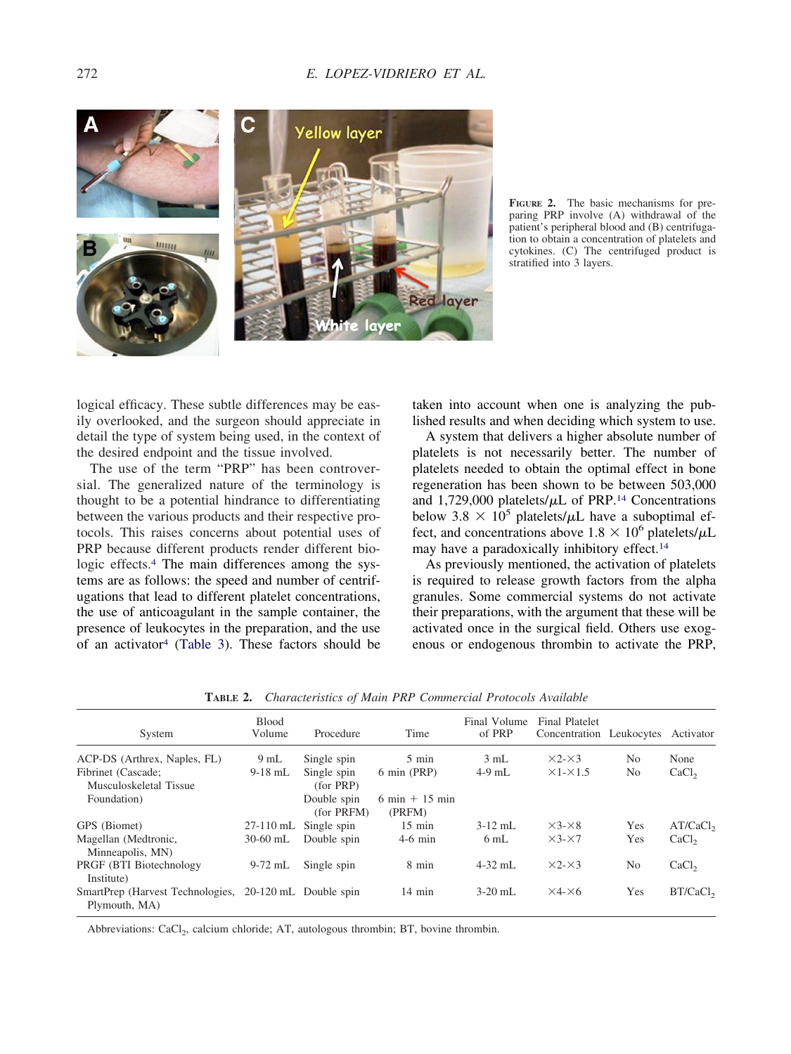

**FIGURE 2.** The basic mechanisms for preparing PRP involve (A) withdrawal of the patient's peripheral blood and (B) centrifugation to obtain a concentration of platelets and cytokines. (C) The centrifuged product is stratified into 3 layers.

logical efficacy. These subtle differences may be easily overlooked, and the surgeon should appreciate in detail the type of system being used, in the context of the desired endpoint and the tissue involved.

The use of the term "PRP" has been controversial. The generalized nature of the terminology is thought to be a potential hindrance to differentiating between the various products and their respective protocols. This raises concerns about potential uses of PRP because different products render different biologic effects[.4](#page-8-0) The main differences among the systems are as follows: the speed and number of centrifugations that lead to different platelet concentrations, the use of anticoagulant in the sample container, the presence of leukocytes in the preparation, and the use of an activato[r4](#page-8-0) [\(Table 3\)](#page-4-0). These factors should be

taken into account when one is analyzing the published results and when deciding which system to use.

A system that delivers a higher absolute number of platelets is not necessarily better. The number of platelets needed to obtain the optimal effect in bone regeneration has been shown to be between 503,000 and 1,729,000 platelets/ $\mu$ L of PRP.<sup>14</sup> Concentrations below 3.8  $\times$  10<sup>5</sup> platelets/ $\mu$ L have a suboptimal effect, and concentrations above  $1.8 \times 10^6$  platelets/ $\mu$ L may have a paradoxically inhibitory effect[.14](#page-8-0)

As previously mentioned, the activation of platelets is required to release growth factors from the alpha granules. Some commercial systems do not activate their preparations, with the argument that these will be activated once in the surgical field. Others use exogenous or endogenous thrombin to activate the PRP,

| System                                            | <b>Blood</b><br>Volume | Procedure                 | Time                                       | Final Volume<br>of PRP | Final Platelet<br>Concentration Leukocytes |                | Activator            |
|---------------------------------------------------|------------------------|---------------------------|--------------------------------------------|------------------------|--------------------------------------------|----------------|----------------------|
| ACP-DS (Arthrex, Naples, FL)                      | $9 \text{ mL}$         | Single spin               | $5 \text{ min}$                            | 3 mL                   | $\times$ 2- $\times$ 3                     | N <sub>0</sub> | None                 |
| Fibrinet (Cascade;<br>Musculoskeletal Tissue      | $9-18$ mL              | Single spin<br>(for PRP)  | 6 min (PRP)                                | $4-9$ mL               | $\times1-X1.5$                             | N <sub>0</sub> | CaCl <sub>2</sub>    |
| Foundation)                                       |                        | Double spin<br>(for PRFM) | $6 \text{ min} + 15 \text{ min}$<br>(PRFM) |                        |                                            |                |                      |
| GPS (Biomet)                                      | 27-110 mL              | Single spin               | $15 \text{ min}$                           | $3-12$ mL              | $\times$ 3- $\times$ 8                     | Yes            | AT/CaCl <sub>2</sub> |
| Magellan (Medtronic,<br>Minneapolis, MN)          | $30-60$ mL             | Double spin               | $4-6$ min                                  | $6 \text{ mL}$         | $\times$ 3- $\times$ 7                     | Yes            | CaCl <sub>2</sub>    |
| PRGF (BTI Biotechnology)<br>Institute)            | $9-72$ mL              | Single spin               | $8 \text{ min}$                            | $4 - 32$ mL            | $\times$ 2- $\times$ 3                     | N <sub>0</sub> | CaCl <sub>2</sub>    |
| SmartPrep (Harvest Technologies,<br>Plymouth, MA) |                        | 20-120 mL Double spin     | $14 \text{ min}$                           | $3-20$ mL              | $\times$ 4- $\times$ 6                     | Yes            | BT/CaCl <sub>2</sub> |

**TABLE 2.** *Characteristics of Main PRP Commercial Protocols Available*

<span id="page-3-0"></span>Abbreviations: CaCl<sub>2</sub>, calcium chloride; AT, autologous thrombin; BT, bovine thrombin.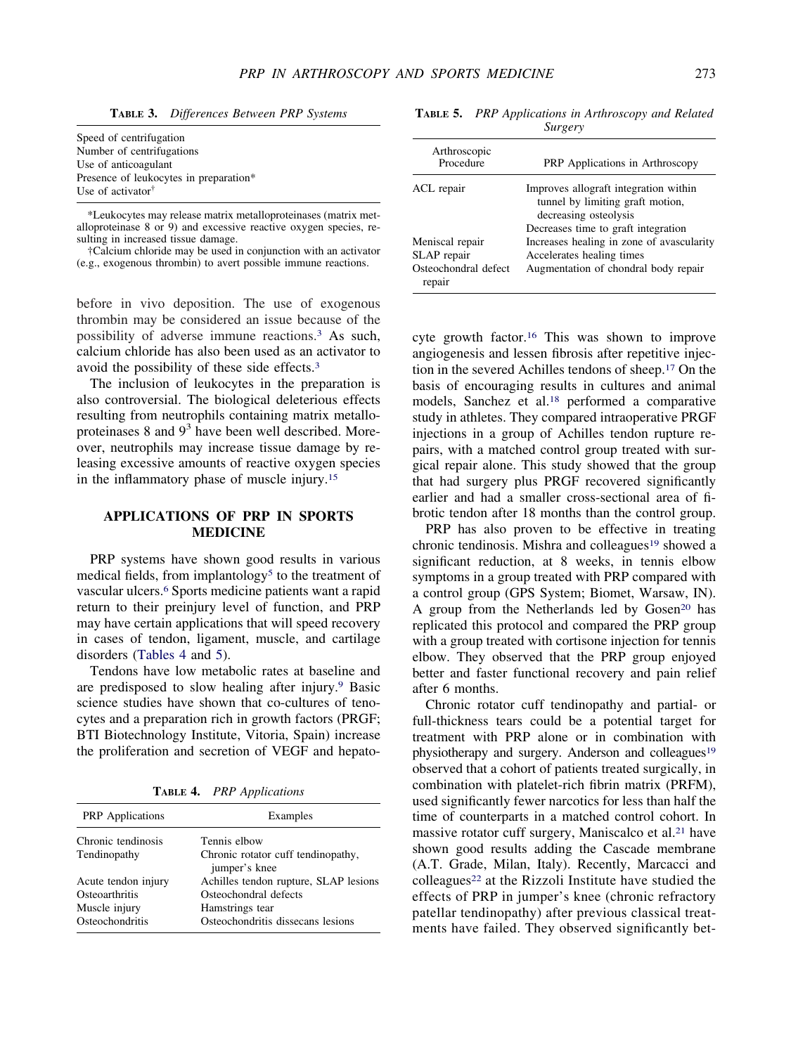**TABLE 3.** *Differences Between PRP Systems*

Speed of centrifugation Number of centrifugations Use of anticoagulant Presence of leukocytes in preparation\* Use of activator<sup>†</sup>

\*Leukocytes may release matrix metalloproteinases (matrix metalloproteinase 8 or 9) and excessive reactive oxygen species, resulting in increased tissue damage.

†Calcium chloride may be used in conjunction with an activator (e.g., exogenous thrombin) to avert possible immune reactions.

before in vivo deposition. The use of exogenous thrombin may be considered an issue because of the possibility of adverse immune reactions[.3](#page-8-0) As such, calcium chloride has also been used as an activator to avoid the possibility of these side effects[.3](#page-8-0)

The inclusion of leukocytes in the preparation is also controversial. The biological deleterious effects resulting from neutrophils containing matrix metalloproteinases  $8$  and  $9<sup>3</sup>$  have been well described. Moreover, neutrophils may increase tissue damage by releasing excessive amounts of reactive oxygen species in the inflammatory phase of muscle injury[.15](#page-8-0)

# **APPLICATIONS OF PRP IN SPORTS MEDICINE**

PRP systems have shown good results in various medical fields, from implantology<sup>5</sup> to the treatment of vascular ulcers[.6](#page-8-0) Sports medicine patients want a rapid return to their preinjury level of function, and PRP may have certain applications that will speed recovery in cases of tendon, ligament, muscle, and cartilage disorders [\(Tables 4](#page-4-0) and [5\)](#page-4-0).

Tendons have low metabolic rates at baseline and are predisposed to slow healing after injury[.9](#page-8-0) Basic science studies have shown that co-cultures of tenocytes and a preparation rich in growth factors (PRGF; BTI Biotechnology Institute, Vitoria, Spain) increase the proliferation and secretion of VEGF and hepato-

**TABLE 4.** *PRP Applications*

<span id="page-4-0"></span>

| <b>PRP</b> Applications | Examples                                            |  |  |
|-------------------------|-----------------------------------------------------|--|--|
| Chronic tendinosis      | Tennis elbow                                        |  |  |
| Tendinopathy            | Chronic rotator cuff tendinopathy,<br>jumper's knee |  |  |
| Acute tendon injury     | Achilles tendon rupture, SLAP lesions               |  |  |
| Osteoarthritis          | Osteochondral defects                               |  |  |
| Muscle injury           | Hamstrings tear                                     |  |  |
| Osteochondritis         | Osteochondritis dissecans lesions                   |  |  |

**TABLE 5.** *PRP Applications in Arthroscopy and Related Surgery*

| Arthroscopic<br>Procedure                                        | <b>PRP</b> Applications in Arthroscopy                                                                                                    |
|------------------------------------------------------------------|-------------------------------------------------------------------------------------------------------------------------------------------|
| ACL repair                                                       | Improves allograft integration within<br>tunnel by limiting graft motion,<br>decreasing osteolysis<br>Decreases time to graft integration |
| Meniscal repair<br>SLAP repair<br>Osteochondral defect<br>repair | Increases healing in zone of avascularity<br>Accelerates healing times<br>Augmentation of chondral body repair                            |

cyte growth factor.<sup>16</sup> This was shown to improve angiogenesis and lessen fibrosis after repetitive injection in the severed Achilles tendons of sheep[.17](#page-8-0) On the basis of encouraging results in cultures and animal models, Sanchez et al[.18](#page-8-0) performed a comparative study in athletes. They compared intraoperative PRGF injections in a group of Achilles tendon rupture repairs, with a matched control group treated with surgical repair alone. This study showed that the group that had surgery plus PRGF recovered significantly earlier and had a smaller cross-sectional area of fibrotic tendon after 18 months than the control group.

PRP has also proven to be effective in treating chronic tendinosis. Mishra and colleagues<sup>19</sup> showed a significant reduction, at 8 weeks, in tennis elbow symptoms in a group treated with PRP compared with a control group (GPS System; Biomet, Warsaw, IN). A group from the Netherlands led by Gosen<sup>20</sup> has replicated this protocol and compared the PRP group with a group treated with cortisone injection for tennis elbow. They observed that the PRP group enjoyed better and faster functional recovery and pain relief after 6 months.

Chronic rotator cuff tendinopathy and partial- or full-thickness tears could be a potential target for treatment with PRP alone or in combination with physiotherapy and surgery. Anderson and colleagues<sup>19</sup> observed that a cohort of patients treated surgically, in combination with platelet-rich fibrin matrix (PRFM), used significantly fewer narcotics for less than half the time of counterparts in a matched control cohort. In massive rotator cuff surgery, Maniscalco et al.<sup>21</sup> have shown good results adding the Cascade membrane (A.T. Grade, Milan, Italy). Recently, Marcacci and colleagues<sup>22</sup> at the Rizzoli Institute have studied the effects of PRP in jumper's knee (chronic refractory patellar tendinopathy) after previous classical treatments have failed. They observed significantly bet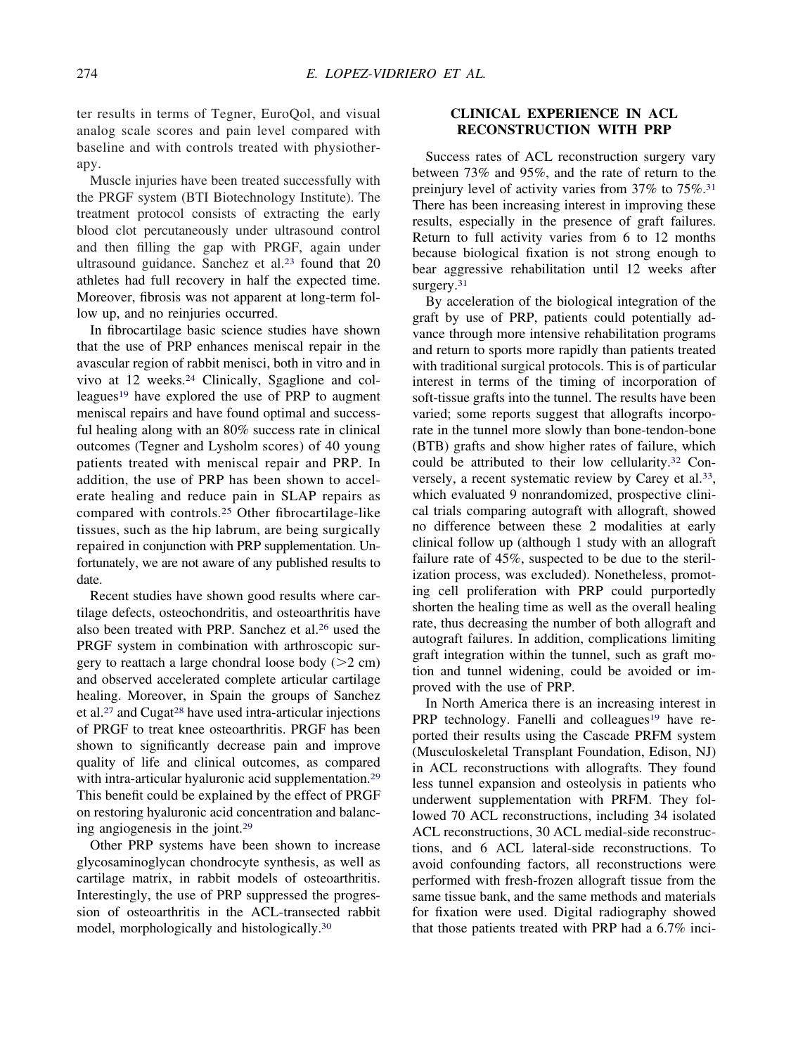ter results in terms of Tegner, EuroQol, and visual analog scale scores and pain level compared with baseline and with controls treated with physiotherapy.

Muscle injuries have been treated successfully with the PRGF system (BTI Biotechnology Institute). The treatment protocol consists of extracting the early blood clot percutaneously under ultrasound control and then filling the gap with PRGF, again under ultrasound guidance. Sanchez et al[.23](#page-8-0) found that 20 athletes had full recovery in half the expected time. Moreover, fibrosis was not apparent at long-term follow up, and no reinjuries occurred.

In fibrocartilage basic science studies have shown that the use of PRP enhances meniscal repair in the avascular region of rabbit menisci, both in vitro and in vivo at 12 weeks.<sup>24</sup> Clinically, Sgaglione and colleagues<sup>19</sup> have explored the use of PRP to augment meniscal repairs and have found optimal and successful healing along with an 80% success rate in clinical outcomes (Tegner and Lysholm scores) of 40 young patients treated with meniscal repair and PRP. In addition, the use of PRP has been shown to accelerate healing and reduce pain in SLAP repairs as compared with controls[.25](#page-8-0) Other fibrocartilage-like tissues, such as the hip labrum, are being surgically repaired in conjunction with PRP supplementation. Unfortunately, we are not aware of any published results to date.

Recent studies have shown good results where cartilage defects, osteochondritis, and osteoarthritis have also been treated with PRP. Sanchez et al[.26](#page-8-0) used the PRGF system in combination with arthroscopic surgery to reattach a large chondral loose body  $(>2 \text{ cm})$ and observed accelerated complete articular cartilage healing. Moreover, in Spain the groups of Sanchez et al.<sup>27</sup> and Cugat<sup>28</sup> have used intra-articular injections of PRGF to treat knee osteoarthritis. PRGF has been shown to significantly decrease pain and improve quality of life and clinical outcomes, as compared with intra-articular hyaluronic acid supplementation.<sup>29</sup> This benefit could be explained by the effect of PRGF on restoring hyaluronic acid concentration and balancing angiogenesis in the joint[.29](#page-8-0)

Other PRP systems have been shown to increase glycosaminoglycan chondrocyte synthesis, as well as cartilage matrix, in rabbit models of osteoarthritis. Interestingly, the use of PRP suppressed the progression of osteoarthritis in the ACL-transected rabbit model, morphologically and histologically[.30](#page-8-0)

# **CLINICAL EXPERIENCE IN ACL RECONSTRUCTION WITH PRP**

Success rates of ACL reconstruction surgery vary between 73% and 95%, and the rate of return to the preinjury level of activity varies from 37% to 75%[.31](#page-8-0) There has been increasing interest in improving these results, especially in the presence of graft failures. Return to full activity varies from 6 to 12 months because biological fixation is not strong enough to bear aggressive rehabilitation until 12 weeks after surgery.<sup>31</sup>

By acceleration of the biological integration of the graft by use of PRP, patients could potentially advance through more intensive rehabilitation programs and return to sports more rapidly than patients treated with traditional surgical protocols. This is of particular interest in terms of the timing of incorporation of soft-tissue grafts into the tunnel. The results have been varied; some reports suggest that allografts incorporate in the tunnel more slowly than bone-tendon-bone (BTB) grafts and show higher rates of failure, which could be attributed to their low cellularity[.32](#page-8-0) Conversely, a recent systematic review by Carey et al[.33,](#page-8-0) which evaluated 9 nonrandomized, prospective clinical trials comparing autograft with allograft, showed no difference between these 2 modalities at early clinical follow up (although 1 study with an allograft failure rate of 45%, suspected to be due to the sterilization process, was excluded). Nonetheless, promoting cell proliferation with PRP could purportedly shorten the healing time as well as the overall healing rate, thus decreasing the number of both allograft and autograft failures. In addition, complications limiting graft integration within the tunnel, such as graft motion and tunnel widening, could be avoided or improved with the use of PRP.

In North America there is an increasing interest in  $PRP$  technology. Fanelli and colleagues<sup>19</sup> have reported their results using the Cascade PRFM system (Musculoskeletal Transplant Foundation, Edison, NJ) in ACL reconstructions with allografts. They found less tunnel expansion and osteolysis in patients who underwent supplementation with PRFM. They followed 70 ACL reconstructions, including 34 isolated ACL reconstructions, 30 ACL medial-side reconstructions, and 6 ACL lateral-side reconstructions. To avoid confounding factors, all reconstructions were performed with fresh-frozen allograft tissue from the same tissue bank, and the same methods and materials for fixation were used. Digital radiography showed that those patients treated with PRP had a 6.7% inci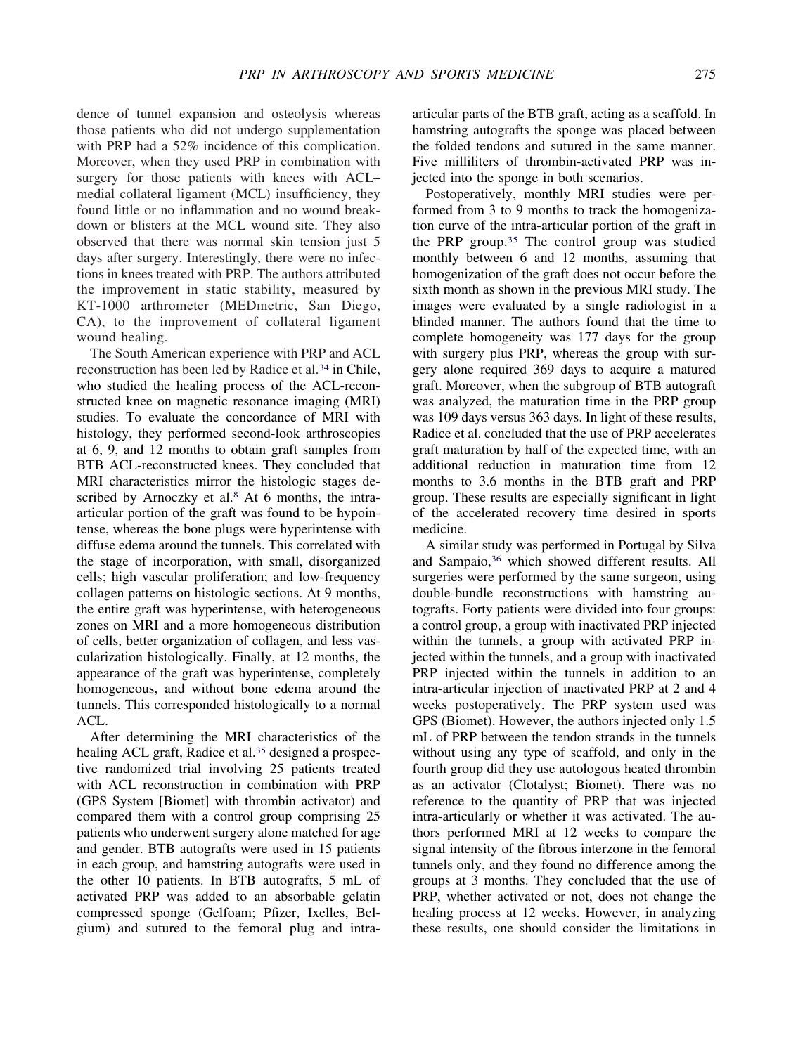dence of tunnel expansion and osteolysis whereas those patients who did not undergo supplementation with PRP had a 52% incidence of this complication. Moreover, when they used PRP in combination with surgery for those patients with knees with ACL– medial collateral ligament (MCL) insufficiency, they found little or no inflammation and no wound breakdown or blisters at the MCL wound site. They also observed that there was normal skin tension just 5 days after surgery. Interestingly, there were no infections in knees treated with PRP. The authors attributed the improvement in static stability, measured by KT-1000 arthrometer (MEDmetric, San Diego, CA), to the improvement of collateral ligament wound healing.

The South American experience with PRP and ACL reconstruction has been led by Radice et al[.34](#page-8-0) in Chile, who studied the healing process of the ACL-reconstructed knee on magnetic resonance imaging (MRI) studies. To evaluate the concordance of MRI with histology, they performed second-look arthroscopies at 6, 9, and 12 months to obtain graft samples from BTB ACL-reconstructed knees. They concluded that MRI characteristics mirror the histologic stages described by Arnoczky et al.<sup>8</sup> At 6 months, the intraarticular portion of the graft was found to be hypointense, whereas the bone plugs were hyperintense with diffuse edema around the tunnels. This correlated with the stage of incorporation, with small, disorganized cells; high vascular proliferation; and low-frequency collagen patterns on histologic sections. At 9 months, the entire graft was hyperintense, with heterogeneous zones on MRI and a more homogeneous distribution of cells, better organization of collagen, and less vascularization histologically. Finally, at 12 months, the appearance of the graft was hyperintense, completely homogeneous, and without bone edema around the tunnels. This corresponded histologically to a normal ACL.

After determining the MRI characteristics of the healing ACL graft, Radice et al.<sup>35</sup> designed a prospective randomized trial involving 25 patients treated with ACL reconstruction in combination with PRP (GPS System [Biomet] with thrombin activator) and compared them with a control group comprising 25 patients who underwent surgery alone matched for age and gender. BTB autografts were used in 15 patients in each group, and hamstring autografts were used in the other 10 patients. In BTB autografts, 5 mL of activated PRP was added to an absorbable gelatin compressed sponge (Gelfoam; Pfizer, Ixelles, Belgium) and sutured to the femoral plug and intraarticular parts of the BTB graft, acting as a scaffold. In hamstring autografts the sponge was placed between the folded tendons and sutured in the same manner. Five milliliters of thrombin-activated PRP was injected into the sponge in both scenarios.

Postoperatively, monthly MRI studies were performed from 3 to 9 months to track the homogenization curve of the intra-articular portion of the graft in the PRP group[.35](#page-9-0) The control group was studied monthly between 6 and 12 months, assuming that homogenization of the graft does not occur before the sixth month as shown in the previous MRI study. The images were evaluated by a single radiologist in a blinded manner. The authors found that the time to complete homogeneity was 177 days for the group with surgery plus PRP, whereas the group with surgery alone required 369 days to acquire a matured graft. Moreover, when the subgroup of BTB autograft was analyzed, the maturation time in the PRP group was 109 days versus 363 days. In light of these results, Radice et al. concluded that the use of PRP accelerates graft maturation by half of the expected time, with an additional reduction in maturation time from 12 months to 3.6 months in the BTB graft and PRP group. These results are especially significant in light of the accelerated recovery time desired in sports medicine.

A similar study was performed in Portugal by Silva and Sampaio[,36](#page-9-0) which showed different results. All surgeries were performed by the same surgeon, using double-bundle reconstructions with hamstring autografts. Forty patients were divided into four groups: a control group, a group with inactivated PRP injected within the tunnels, a group with activated PRP injected within the tunnels, and a group with inactivated PRP injected within the tunnels in addition to an intra-articular injection of inactivated PRP at 2 and 4 weeks postoperatively. The PRP system used was GPS (Biomet). However, the authors injected only 1.5 mL of PRP between the tendon strands in the tunnels without using any type of scaffold, and only in the fourth group did they use autologous heated thrombin as an activator (Clotalyst; Biomet). There was no reference to the quantity of PRP that was injected intra-articularly or whether it was activated. The authors performed MRI at 12 weeks to compare the signal intensity of the fibrous interzone in the femoral tunnels only, and they found no difference among the groups at 3 months. They concluded that the use of PRP, whether activated or not, does not change the healing process at 12 weeks. However, in analyzing these results, one should consider the limitations in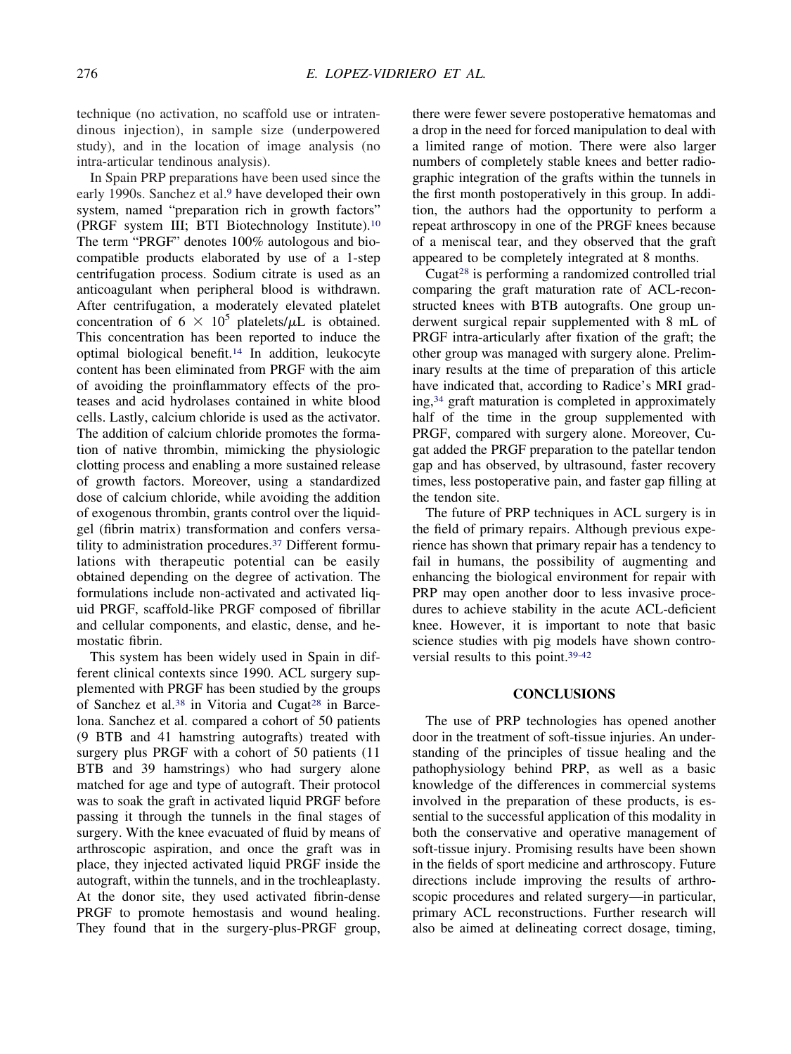technique (no activation, no scaffold use or intratendinous injection), in sample size (underpowered study), and in the location of image analysis (no intra-articular tendinous analysis).

In Spain PRP preparations have been used since the early 1990s. Sanchez et al.<sup>9</sup> have developed their own system, named "preparation rich in growth factors" (PRGF system III; BTI Biotechnology Institute)[.10](#page-8-0) The term "PRGF" denotes 100% autologous and biocompatible products elaborated by use of a 1-step centrifugation process. Sodium citrate is used as an anticoagulant when peripheral blood is withdrawn. After centrifugation, a moderately elevated platelet concentration of  $6 \times 10^5$  platelets/ $\mu$ L is obtained. This concentration has been reported to induce the optimal biological benefit[.14](#page-8-0) In addition, leukocyte content has been eliminated from PRGF with the aim of avoiding the proinflammatory effects of the proteases and acid hydrolases contained in white blood cells. Lastly, calcium chloride is used as the activator. The addition of calcium chloride promotes the formation of native thrombin, mimicking the physiologic clotting process and enabling a more sustained release of growth factors. Moreover, using a standardized dose of calcium chloride, while avoiding the addition of exogenous thrombin, grants control over the liquidgel (fibrin matrix) transformation and confers versatility to administration procedures[.37](#page-9-0) Different formulations with therapeutic potential can be easily obtained depending on the degree of activation. The formulations include non-activated and activated liquid PRGF, scaffold-like PRGF composed of fibrillar and cellular components, and elastic, dense, and hemostatic fibrin.

This system has been widely used in Spain in different clinical contexts since 1990. ACL surgery supplemented with PRGF has been studied by the groups of Sanchez et al.<sup>38</sup> in Vitoria and Cugat<sup>28</sup> in Barcelona. Sanchez et al. compared a cohort of 50 patients (9 BTB and 41 hamstring autografts) treated with surgery plus PRGF with a cohort of 50 patients (11 BTB and 39 hamstrings) who had surgery alone matched for age and type of autograft. Their protocol was to soak the graft in activated liquid PRGF before passing it through the tunnels in the final stages of surgery. With the knee evacuated of fluid by means of arthroscopic aspiration, and once the graft was in place, they injected activated liquid PRGF inside the autograft, within the tunnels, and in the trochleaplasty. At the donor site, they used activated fibrin-dense PRGF to promote hemostasis and wound healing. They found that in the surgery-plus-PRGF group, there were fewer severe postoperative hematomas and a drop in the need for forced manipulation to deal with a limited range of motion. There were also larger numbers of completely stable knees and better radiographic integration of the grafts within the tunnels in the first month postoperatively in this group. In addition, the authors had the opportunity to perform a repeat arthroscopy in one of the PRGF knees because of a meniscal tear, and they observed that the graft appeared to be completely integrated at 8 months.

Cuga[t28](#page-8-0) is performing a randomized controlled trial comparing the graft maturation rate of ACL-reconstructed knees with BTB autografts. One group underwent surgical repair supplemented with 8 mL of PRGF intra-articularly after fixation of the graft; the other group was managed with surgery alone. Preliminary results at the time of preparation of this article have indicated that, according to Radice's MRI grading[,34](#page-8-0) graft maturation is completed in approximately half of the time in the group supplemented with PRGF, compared with surgery alone. Moreover, Cugat added the PRGF preparation to the patellar tendon gap and has observed, by ultrasound, faster recovery times, less postoperative pain, and faster gap filling at the tendon site.

The future of PRP techniques in ACL surgery is in the field of primary repairs. Although previous experience has shown that primary repair has a tendency to fail in humans, the possibility of augmenting and enhancing the biological environment for repair with PRP may open another door to less invasive procedures to achieve stability in the acute ACL-deficient knee. However, it is important to note that basic science studies with pig models have shown controversial results to this point[.39-42](#page-9-0)

## **CONCLUSIONS**

The use of PRP technologies has opened another door in the treatment of soft-tissue injuries. An understanding of the principles of tissue healing and the pathophysiology behind PRP, as well as a basic knowledge of the differences in commercial systems involved in the preparation of these products, is essential to the successful application of this modality in both the conservative and operative management of soft-tissue injury. Promising results have been shown in the fields of sport medicine and arthroscopy. Future directions include improving the results of arthroscopic procedures and related surgery—in particular, primary ACL reconstructions. Further research will also be aimed at delineating correct dosage, timing,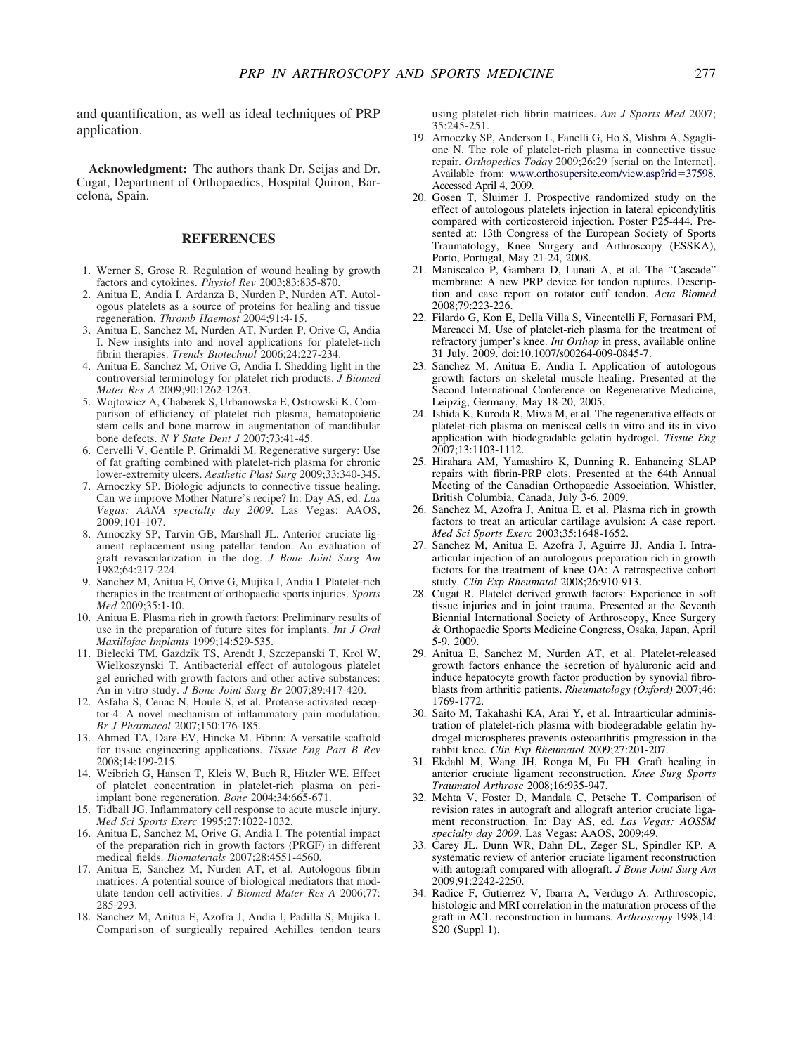and quantification, as well as ideal techniques of PRP application.

**Acknowledgment:** The authors thank Dr. Seijas and Dr. Cugat, Department of Orthopaedics, Hospital Quiron, Barcelona, Spain.

### **REFERENCES**

- 1. Werner S, Grose R. Regulation of wound healing by growth factors and cytokines. *Physiol Rev* 2003;83:835-870.
- 2. Anitua E, Andia I, Ardanza B, Nurden P, Nurden AT. Autologous platelets as a source of proteins for healing and tissue regeneration. *Thromb Haemost* 2004;91:4-15.
- 3. Anitua E, Sanchez M, Nurden AT, Nurden P, Orive G, Andia I. New insights into and novel applications for platelet-rich fibrin therapies. *Trends Biotechnol* 2006;24:227-234.
- 4. Anitua E, Sanchez M, Orive G, Andia I. Shedding light in the controversial terminology for platelet rich products. *J Biomed Mater Res A* 2009;90:1262-1263.
- 5. Wojtowicz A, Chaberek S, Urbanowska E, Ostrowski K. Comparison of efficiency of platelet rich plasma, hematopoietic stem cells and bone marrow in augmentation of mandibular bone defects. *N Y State Dent J* 2007;73:41-45.
- 6. Cervelli V, Gentile P, Grimaldi M. Regenerative surgery: Use of fat grafting combined with platelet-rich plasma for chronic lower-extremity ulcers. *Aesthetic Plast Surg* 2009;33:340-345.
- 7. Arnoczky SP. Biologic adjuncts to connective tissue healing. Can we improve Mother Nature's recipe? In: Day AS, ed. *Las Vegas: AANA specialty day 2009*. Las Vegas: AAOS, 2009;101-107.
- 8. Arnoczky SP, Tarvin GB, Marshall JL. Anterior cruciate ligament replacement using patellar tendon. An evaluation of graft revascularization in the dog. *J Bone Joint Surg Am* 1982;64:217-224.
- 9. Sanchez M, Anitua E, Orive G, Mujika I, Andia I. Platelet-rich therapies in the treatment of orthopaedic sports injuries. *Sports Med* 2009;35:1-10.
- 10. Anitua E. Plasma rich in growth factors: Preliminary results of use in the preparation of future sites for implants. *Int J Oral Maxillofac Implants* 1999;14:529-535.
- 11. Bielecki TM, Gazdzik TS, Arendt J, Szczepanski T, Krol W, Wielkoszynski T. Antibacterial effect of autologous platelet gel enriched with growth factors and other active substances: An in vitro study. *J Bone Joint Surg Br* 2007;89:417-420.
- 12. Asfaha S, Cenac N, Houle S, et al. Protease-activated receptor-4: A novel mechanism of inflammatory pain modulation. *Br J Pharmacol* 2007;150:176-185.
- 13. Ahmed TA, Dare EV, Hincke M. Fibrin: A versatile scaffold for tissue engineering applications. *Tissue Eng Part B Rev* 2008;14:199-215.
- 14. Weibrich G, Hansen T, Kleis W, Buch R, Hitzler WE. Effect of platelet concentration in platelet-rich plasma on periimplant bone regeneration. *Bone* 2004;34:665-671.
- 15. Tidball JG. Inflammatory cell response to acute muscle injury. *Med Sci Sports Exerc* 1995;27:1022-1032.
- 16. Anitua E, Sanchez M, Orive G, Andia I. The potential impact of the preparation rich in growth factors (PRGF) in different medical fields. *Biomaterials* 2007;28:4551-4560.
- 17. Anitua E, Sanchez M, Nurden AT, et al. Autologous fibrin matrices: A potential source of biological mediators that modulate tendon cell activities. *J Biomed Mater Res A* 2006;77: 285-293.
- <span id="page-8-0"></span>18. Sanchez M, Anitua E, Azofra J, Andia I, Padilla S, Mujika I. Comparison of surgically repaired Achilles tendon tears

using platelet-rich fibrin matrices. *Am J Sports Med* 2007; 35:245-251.

- 19. Arnoczky SP, Anderson L, Fanelli G, Ho S, Mishra A, Sgaglione N. The role of platelet-rich plasma in connective tissue repair. *Orthopedics Today* 2009;26:29 [serial on the Internet]. Available from: [www.orthosupersite.com/view.asp?rid](http://www.orthosupersite.com/view.asp?rid=37598)=37598. Accessed April 4, 2009.
- 20. Gosen T, Sluimer J. Prospective randomized study on the effect of autologous platelets injection in lateral epicondylitis compared with corticosteroid injection. Poster P25-444. Presented at: 13th Congress of the European Society of Sports Traumatology, Knee Surgery and Arthroscopy (ESSKA), Porto, Portugal, May 21-24, 2008.
- 21. Maniscalco P, Gambera D, Lunati A, et al. The "Cascade" membrane: A new PRP device for tendon ruptures. Description and case report on rotator cuff tendon. *Acta Biomed* 2008;79:223-226.
- 22. Filardo G, Kon E, Della Villa S, Vincentelli F, Fornasari PM, Marcacci M. Use of platelet-rich plasma for the treatment of refractory jumper's knee. *Int Orthop* in press, available online 31 July, 2009. doi:10.1007/s00264-009-0845-7.
- 23. Sanchez M, Anitua E, Andia I. Application of autologous growth factors on skeletal muscle healing. Presented at the Second International Conference on Regenerative Medicine, Leipzig, Germany, May 18-20, 2005.
- 24. Ishida K, Kuroda R, Miwa M, et al. The regenerative effects of platelet-rich plasma on meniscal cells in vitro and its in vivo application with biodegradable gelatin hydrogel. *Tissue Eng* 2007;13:1103-1112.
- 25. Hirahara AM, Yamashiro K, Dunning R. Enhancing SLAP repairs with fibrin-PRP clots. Presented at the 64th Annual Meeting of the Canadian Orthopaedic Association, Whistler, British Columbia, Canada, July 3-6, 2009.
- 26. Sanchez M, Azofra J, Anitua E, et al. Plasma rich in growth factors to treat an articular cartilage avulsion: A case report. *Med Sci Sports Exerc* 2003;35:1648-1652.
- 27. Sanchez M, Anitua E, Azofra J, Aguirre JJ, Andia I. Intraarticular injection of an autologous preparation rich in growth factors for the treatment of knee OA: A retrospective cohort study. *Clin Exp Rheumatol* 2008;26:910-913.
- 28. Cugat R. Platelet derived growth factors: Experience in soft tissue injuries and in joint trauma. Presented at the Seventh Biennial International Society of Arthroscopy, Knee Surgery & Orthopaedic Sports Medicine Congress, Osaka, Japan, April 5-9, 2009.
- 29. Anitua E, Sanchez M, Nurden AT, et al. Platelet-released growth factors enhance the secretion of hyaluronic acid and induce hepatocyte growth factor production by synovial fibroblasts from arthritic patients. *Rheumatology (Oxford)* 2007;46: 1769-1772.
- 30. Saito M, Takahashi KA, Arai Y, et al. Intraarticular administration of platelet-rich plasma with biodegradable gelatin hydrogel microspheres prevents osteoarthritis progression in the rabbit knee. *Clin Exp Rheumatol* 2009;27:201-207.
- 31. Ekdahl M, Wang JH, Ronga M, Fu FH. Graft healing in anterior cruciate ligament reconstruction. *Knee Surg Sports Traumatol Arthrosc* 2008;16:935-947.
- 32. Mehta V, Foster D, Mandala C, Petsche T. Comparison of revision rates in autograft and allograft anterior cruciate ligament reconstruction. In: Day AS, ed. *Las Vegas: AOSSM specialty day 2009*. Las Vegas: AAOS, 2009;49.
- 33. Carey JL, Dunn WR, Dahn DL, Zeger SL, Spindler KP. A systematic review of anterior cruciate ligament reconstruction with autograft compared with allograft. *J Bone Joint Surg Am* 2009;91:2242-2250.
- 34. Radice F, Gutierrez V, Ibarra A, Verdugo A. Arthroscopic, histologic and MRI correlation in the maturation process of the graft in ACL reconstruction in humans. *Arthroscopy* 1998;14: S20 (Suppl 1).